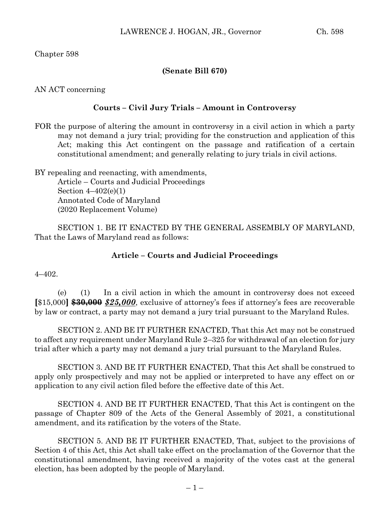## **(Senate Bill 670)**

AN ACT concerning

## **Courts – Civil Jury Trials – Amount in Controversy**

FOR the purpose of altering the amount in controversy in a civil action in which a party may not demand a jury trial; providing for the construction and application of this Act; making this Act contingent on the passage and ratification of a certain constitutional amendment; and generally relating to jury trials in civil actions.

BY repealing and reenacting, with amendments, Article – Courts and Judicial Proceedings Section  $4-402(e)(1)$ Annotated Code of Maryland (2020 Replacement Volume)

SECTION 1. BE IT ENACTED BY THE GENERAL ASSEMBLY OF MARYLAND, That the Laws of Maryland read as follows:

## **Article – Courts and Judicial Proceedings**

 $4 - 402$ .

(e) (1) In a civil action in which the amount in controversy does not exceed **[**\$15,000**] \$30,000** *\$25,000*, exclusive of attorney's fees if attorney's fees are recoverable by law or contract, a party may not demand a jury trial pursuant to the Maryland Rules.

SECTION 2. AND BE IT FURTHER ENACTED, That this Act may not be construed to affect any requirement under Maryland Rule 2–325 for withdrawal of an election for jury trial after which a party may not demand a jury trial pursuant to the Maryland Rules.

SECTION 3. AND BE IT FURTHER ENACTED, That this Act shall be construed to apply only prospectively and may not be applied or interpreted to have any effect on or application to any civil action filed before the effective date of this Act.

SECTION 4. AND BE IT FURTHER ENACTED, That this Act is contingent on the passage of Chapter 809 of the Acts of the General Assembly of 2021, a constitutional amendment, and its ratification by the voters of the State.

SECTION 5. AND BE IT FURTHER ENACTED, That, subject to the provisions of Section 4 of this Act, this Act shall take effect on the proclamation of the Governor that the constitutional amendment, having received a majority of the votes cast at the general election, has been adopted by the people of Maryland.